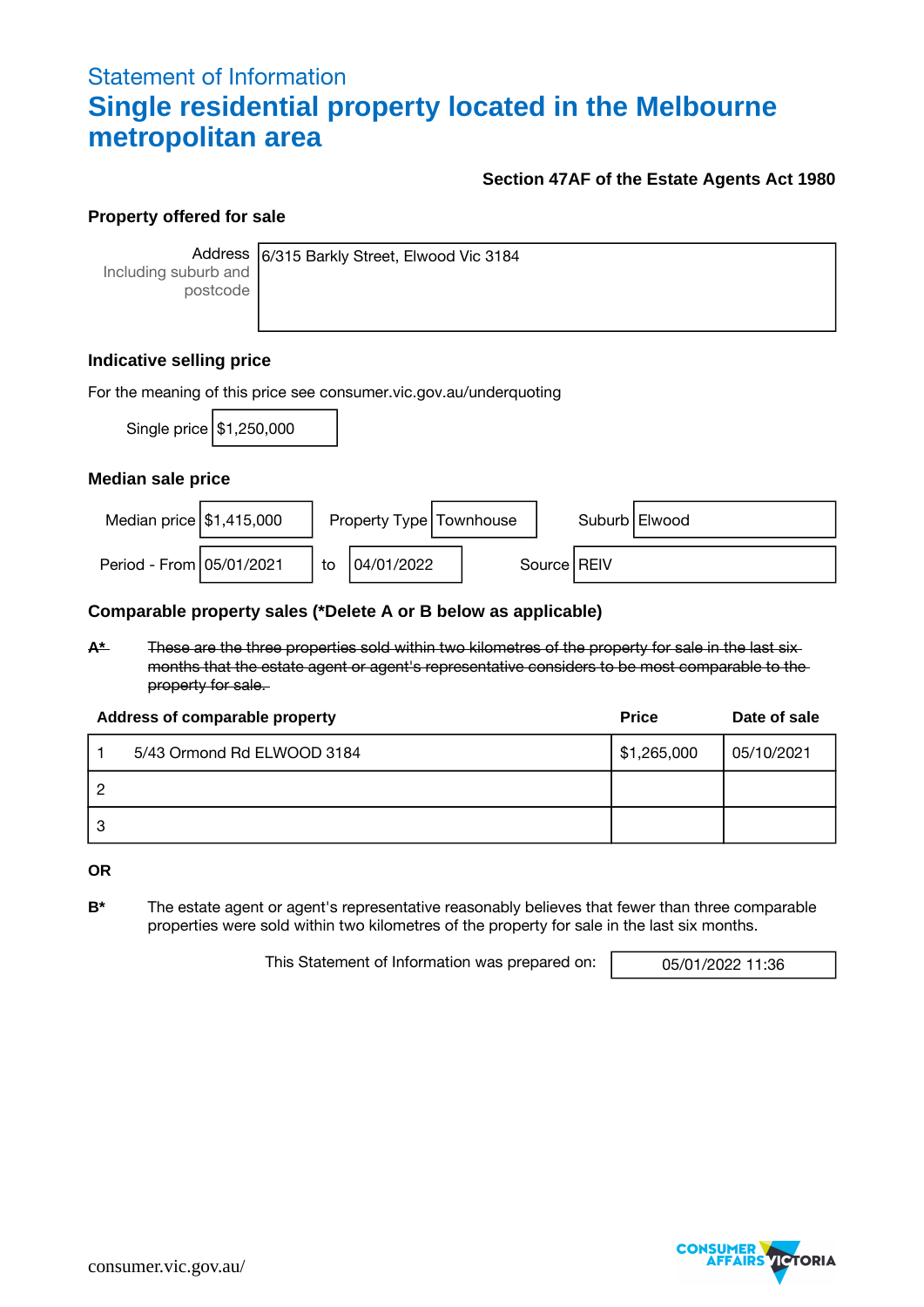## Statement of Information **Single residential property located in the Melbourne metropolitan area**

### **Section 47AF of the Estate Agents Act 1980**

#### **Property offered for sale**

Including suburb and postcode

Address 6/315 Barkly Street, Elwood Vic 3184

### **Indicative selling price**

| For the meaning of this price see consumer.vic.gov.au/underquoting |                            |    |                           |               |                 |  |  |  |  |
|--------------------------------------------------------------------|----------------------------|----|---------------------------|---------------|-----------------|--|--|--|--|
|                                                                    | Single price   \$1,250,000 |    |                           |               |                 |  |  |  |  |
| Median sale price                                                  |                            |    |                           |               |                 |  |  |  |  |
| Median price $\frac{1}{3}$ 1,415,000                               |                            |    | Property Type   Townhouse |               | Suburb   Elwood |  |  |  |  |
| Period - From 05/01/2021                                           |                            | to | 04/01/2022                | Source   REIV |                 |  |  |  |  |

#### **Comparable property sales (\*Delete A or B below as applicable)**

**A\*** These are the three properties sold within two kilometres of the property for sale in the last six months that the estate agent or agent's representative considers to be most comparable to the property for sale.

| Address of comparable property | <b>Price</b> | Date of sale |
|--------------------------------|--------------|--------------|
| 5/43 Ormond Rd ELWOOD 3184     | \$1,265,000  | 05/10/2021   |
|                                |              |              |
|                                |              |              |

**OR**

**B\*** The estate agent or agent's representative reasonably believes that fewer than three comparable properties were sold within two kilometres of the property for sale in the last six months.

This Statement of Information was prepared on: 05/01/2022 11:36